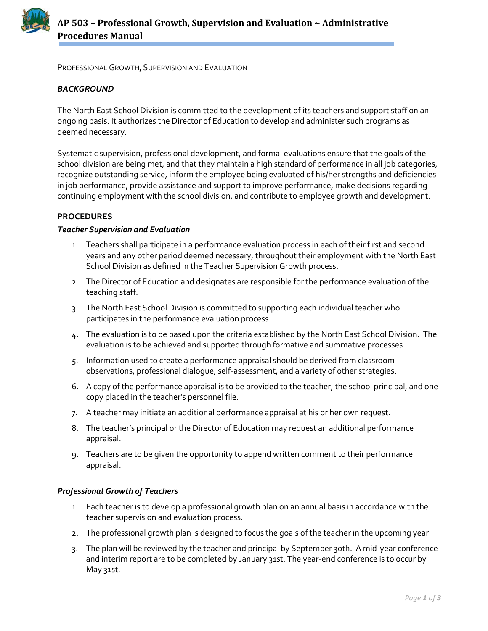

PROFESSIONAL GROWTH, SUPERVISION AND EVALUATION

## *BACKGROUND*

The North East School Division is committed to the development of its teachers and support staff on an ongoing basis. It authorizes the Director of Education to develop and administer such programs as deemed necessary.

Systematic supervision, professional development, and formal evaluations ensure that the goals of the school division are being met, and that they maintain a high standard of performance in all job categories, recognize outstanding service, inform the employee being evaluated of his/her strengths and deficiencies in job performance, provide assistance and support to improve performance, make decisions regarding continuing employment with the school division, and contribute to employee growth and development.

### **PROCEDURES**

#### *Teacher Supervision and Evaluation*

- 1. Teachers shall participate in a performance evaluation process in each of their first and second years and any other period deemed necessary, throughout their employment with the North East School Division as defined in the Teacher Supervision Growth process.
- 2. The Director of Education and designates are responsible for the performance evaluation of the teaching staff.
- 3. The North East School Division is committed to supporting each individual teacher who participates in the performance evaluation process.
- 4. The evaluation is to be based upon the criteria established by the North East School Division. The evaluation is to be achieved and supported through formative and summative processes.
- 5. Information used to create a performance appraisal should be derived from classroom observations, professional dialogue, self-assessment, and a variety of other strategies.
- 6. A copy of the performance appraisal is to be provided to the teacher, the school principal, and one copy placed in the teacher's personnel file.
- 7. A teacher may initiate an additional performance appraisal at his or her own request.
- 8. The teacher's principal or the Director of Education may request an additional performance appraisal.
- 9. Teachers are to be given the opportunity to append written comment to their performance appraisal.

### *Professional Growth of Teachers*

- 1. Each teacher is to develop a professional growth plan on an annual basis in accordance with the teacher supervision and evaluation process.
- 2. The professional growth plan is designed to focus the goals of the teacher in the upcoming year.
- 3. The plan will be reviewed by the teacher and principal by September 30th. A mid-year conference and interim report are to be completed by January 31st. The year-end conference is to occur by May 31st.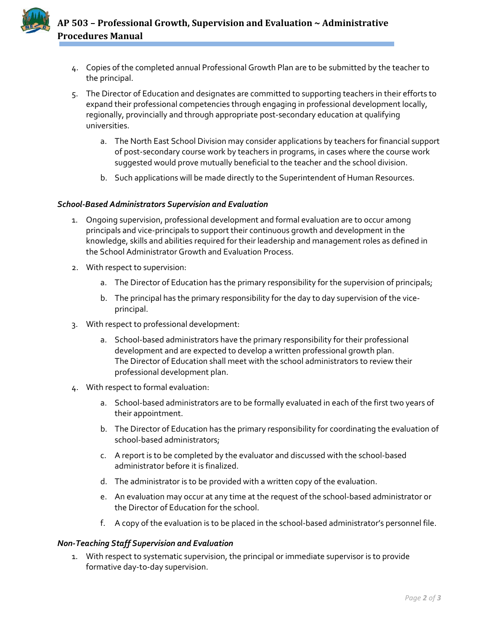

- 4. Copies of the completed annual Professional Growth Plan are to be submitted by the teacher to the principal.
- 5. The Director of Education and designates are committed to supporting teachers in their efforts to expand their professional competencies through engaging in professional development locally, regionally, provincially and through appropriate post-secondary education at qualifying universities.
	- a. The North East School Division may consider applications by teachers for financial support of post-secondary course work by teachers in programs, in cases where the course work suggested would prove mutually beneficial to the teacher and the school division.
	- b. Such applications will be made directly to the Superintendent of Human Resources.

# *School-Based Administrators Supervision and Evaluation*

- 1. Ongoing supervision, professional development and formal evaluation are to occur among principals and vice-principals to support their continuous growth and development in the knowledge, skills and abilities required for their leadership and management roles as defined in the School Administrator Growth and Evaluation Process.
- 2. With respect to supervision:
	- a. The Director of Education has the primary responsibility for the supervision of principals;
	- b. The principal has the primary responsibility for the day to day supervision of the viceprincipal.
- 3. With respect to professional development:
	- a. School-based administrators have the primary responsibility for their professional development and are expected to develop a written professional growth plan. The Director of Education shall meet with the school administrators to review their professional development plan.
- 4. With respect to formal evaluation:
	- a. School-based administrators are to be formally evaluated in each of the first two years of their appointment.
	- b. The Director of Education has the primary responsibility for coordinating the evaluation of school-based administrators;
	- c. A report is to be completed by the evaluator and discussed with the school-based administrator before it is finalized.
	- d. The administrator is to be provided with a written copy of the evaluation.
	- e. An evaluation may occur at any time at the request of the school-based administrator or the Director of Education for the school.
	- f. A copy of the evaluation is to be placed in the school-based administrator's personnel file.

### *Non-Teaching Staff Supervision and Evaluation*

1. With respect to systematic supervision, the principal or immediate supervisor is to provide formative day-to-day supervision.